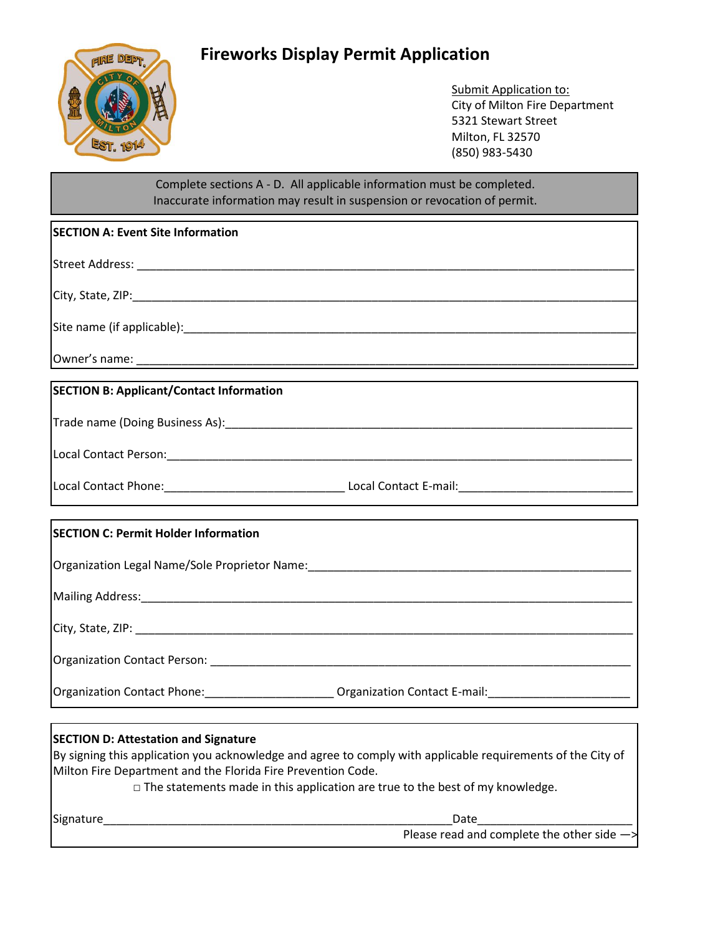## **Fireworks Display Permit Application**



Submit Application to: City of Milton Fire Department 5321 Stewart Street Milton, FL 32570 (850) 983-5430

## Complete sections A - D. All applicable information must be completed. Inaccurate information may result in suspension or revocation of permit.

| <b>SECTION A: Event Site Information</b>        |
|-------------------------------------------------|
|                                                 |
|                                                 |
|                                                 |
|                                                 |
| <b>SECTION B: Applicant/Contact Information</b> |
|                                                 |
|                                                 |
|                                                 |
|                                                 |

|  | Local Contact Phone: | Local Contact E-mail: |
|--|----------------------|-----------------------|
|--|----------------------|-----------------------|

## **SECTION C: Permit Holder Information**

| Organization Legal Name/Sole Proprietor Name: |  |
|-----------------------------------------------|--|
|                                               |  |

Mailing Address:\_\_\_\_\_\_\_\_\_\_\_\_\_\_\_\_\_\_\_\_\_\_\_\_\_\_\_\_\_\_\_\_\_\_\_\_\_\_\_\_\_\_\_\_\_\_\_\_\_\_\_\_\_\_\_\_\_\_\_\_\_\_\_\_\_\_\_\_\_\_\_\_\_\_\_\_

City, State, ZIP: \_\_\_\_\_\_\_\_\_\_\_\_\_\_\_\_\_\_\_\_\_\_\_\_\_\_\_\_\_\_\_\_\_\_\_\_\_\_\_\_\_\_\_\_\_\_\_\_\_\_\_\_\_\_\_\_\_\_\_\_\_\_\_\_\_\_\_\_\_\_\_\_\_\_\_\_\_

Organization Contact Person: \_\_\_\_\_\_\_\_\_\_\_\_\_\_\_\_\_\_\_\_\_\_\_\_\_\_\_\_\_\_\_\_\_\_\_\_\_\_\_\_\_\_\_\_\_\_\_\_\_\_\_\_\_\_\_\_\_\_\_\_\_\_\_\_\_

Organization Contact Phone: \_\_\_\_\_\_\_\_\_\_\_\_\_\_\_\_\_\_\_\_\_\_\_\_\_ Organization Contact E-mail: \_\_\_\_\_\_\_\_\_\_\_\_\_\_\_\_

## **SECTION D: Attestation and Signature**

By signing this application you acknowledge and agree to comply with applicable requirements of the City of Milton Fire Department and the Florida Fire Prevention Code.

 $\Box$  The statements made in this application are true to the best of my knowledge.

Signature **Example 2018** Contract a set of the set of the set of the set of the set of the set of the set of the set of the set of the set of the set of the set of the set of the set of the set of the set of the set of the

Please read and complete the other side —>